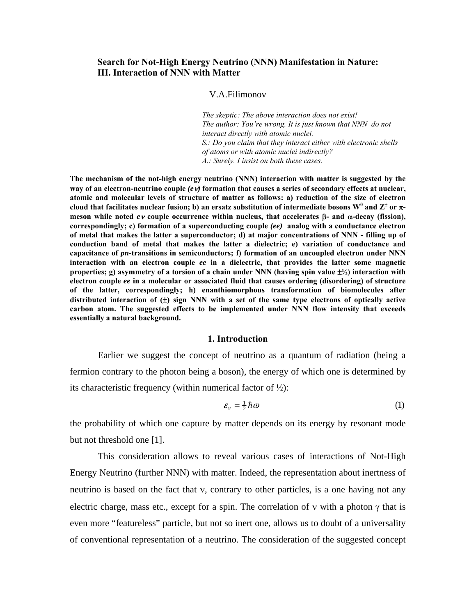### **Search for Not-High Energy Neutrino (NNN) Manifestation in Nature: III. Interaction of NNN with Matter**

### V.A.Filimonov

*The skeptic: The above interaction does not exist! The author: You're wrong. It is just known that NNN do not interact directly with atomic nuclei. S.: Do you claim that they interact either with electronic shells of atoms or with atomic nuclei indirectly? A.: Surely. I insist on both these cases.*

**The mechanism of the not-high energy neutrino (NNN) interaction with matter is suggested by the way of an electron-neutrino couple** *(e*ν*)* **formation that causes a series of secondary effects at nuclear, atomic and molecular levels of structure of matter as follows: a) reduction of the size of electron cloud that facilitates nuclear fusion; b) an ersatz substitution of intermediate bosons**  $\mathrm{W}^0$  **and**  $\mathrm{Z}^\pm$  **or πmeson while noted** *e*ν **couple occurrence within nucleus, that accelerates** β**- and** α**-decay (fission), correspondingly; c) formation of a superconducting couple** *(ee)* **analog with a conductance electron of metal that makes the latter a superconductor; d) at major concentrations of NNN - filling up of conduction band of metal that makes the latter a dielectric; e) variation of conductance and capacitance of** *pn***-transitions in semiconductors; f) formation of an uncoupled electron under NNN interaction with an electron couple** *ee* **in a dielectric, that provides the latter some magnetic properties; g) asymmetry of a torsion of a chain under NNN (having spin value** ±**½) interaction with electron couple** *ee* **in a molecular or associated fluid that causes ordering (disordering) of structure of the latter, correspondingly; h) enanthiomorphous transformation of biomolecules after distributed interaction of (**±**) sign NNN with a set of the same type electrons of optically active carbon atom. The suggested effects to be implemented under NNN flow intensity that exceeds essentially a natural background.** 

#### **1. Introduction**

Earlier we suggest the concept of neutrino as a quantum of radiation (being a fermion contrary to the photon being a boson), the energy of which one is determined by its characteristic frequency (within numerical factor of  $\frac{1}{2}$ ):

$$
\varepsilon_{\nu} = \frac{1}{2} \hbar \omega \tag{1}
$$

the probability of which one capture by matter depends on its energy by resonant mode but not threshold one [1].

This consideration allows to reveal various cases of interactions of Not-High Energy Neutrino (further NNN) with matter. Indeed, the representation about inertness of neutrino is based on the fact that ν, contrary to other particles, is a one having not any electric charge, mass etc., except for a spin. The correlation of  $\nu$  with a photon  $\nu$  that is even more "featureless" particle, but not so inert one, allows us to doubt of a universality of conventional representation of a neutrino. The consideration of the suggested concept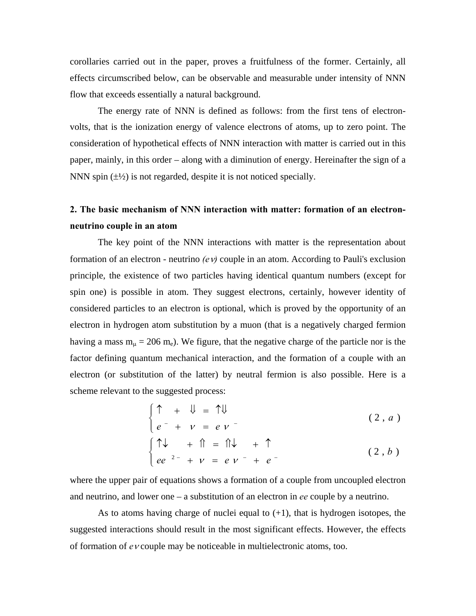corollaries carried out in the paper, proves a fruitfulness of the former. Certainly, all effects circumscribed below, can be observable and measurable under intensity of NNN flow that exceeds essentially a natural background.

The energy rate of NNN is defined as follows: from the first tens of electronvolts, that is the ionization energy of valence electrons of atoms, up to zero point. The consideration of hypothetical effects of NNN interaction with matter is carried out in this paper, mainly, in this order – along with a diminution of energy. Hereinafter the sign of a NNN spin  $(\pm \frac{1}{2})$  is not regarded, despite it is not noticed specially.

## **2. The basic mechanism of NNN interaction with matter: formation of an electronneutrino couple in an atom**

The key point of the NNN interactions with matter is the representation about formation of an electron - neutrino *(e*ν*)* couple in an atom. According to Pauli's exclusion principle, the existence of two particles having identical quantum numbers (except for spin one) is possible in atom. They suggest electrons, certainly, however identity of considered particles to an electron is optional, which is proved by the opportunity of an electron in hydrogen atom substitution by a muon (that is a negatively charged fermion having a mass  $m_{\mu} = 206$  m<sub>e</sub>). We figure, that the negative charge of the particle nor is the factor defining quantum mechanical interaction, and the formation of a couple with an electron (or substitution of the latter) by neutral fermion is also possible. Here is a scheme relevant to the suggested process:

$$
\begin{cases}\n\uparrow + \Downarrow = \uparrow \Downarrow \\
e^- + \nu = e \nu^- \\
\uparrow \Downarrow + \Uparrow = \Uparrow \downarrow + \uparrow \\
ee^{2^-} + \nu = e \nu^- + e^-\n\end{cases} (2, a)
$$

where the upper pair of equations shows a formation of a couple from uncoupled electron and neutrino, and lower one – a substitution of an electron in *ee* couple by a neutrino.

As to atoms having charge of nuclei equal to  $(+1)$ , that is hydrogen isotopes, the suggested interactions should result in the most significant effects. However, the effects of formation of *e*ν couple may be noticeable in multielectronic atoms, too.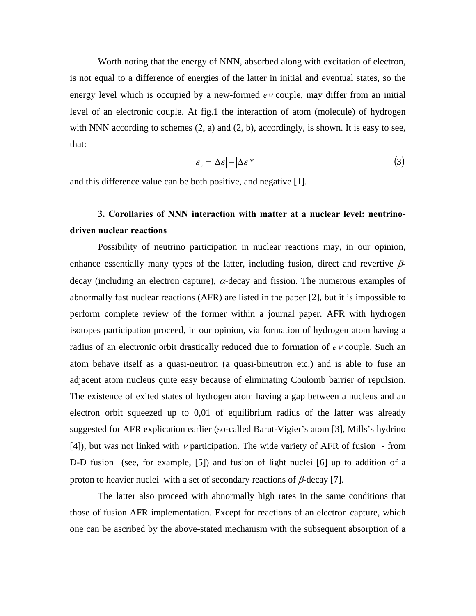Worth noting that the energy of NNN, absorbed along with excitation of electron, is not equal to a difference of energies of the latter in initial and eventual states, so the energy level which is occupied by a new-formed *e*ν couple, may differ from an initial level of an electronic couple. At fig.1 the interaction of atom (molecule) of hydrogen with NNN according to schemes  $(2, a)$  and  $(2, b)$ , accordingly, is shown. It is easy to see, that:

$$
\varepsilon_{\nu} = |\Delta \varepsilon| - |\Delta \varepsilon^*| \tag{3}
$$

and this difference value can be both positive, and negative [1].

# **3. Corollaries of NNN interaction with matter at a nuclear level: neutrinodriven nuclear reactions**

Possibility of neutrino participation in nuclear reactions may, in our opinion, enhance essentially many types of the latter, including fusion, direct and revertive βdecay (including an electron capture), α*-*decay and fission. The numerous examples of abnormally fast nuclear reactions (AFR) are listed in the paper [2], but it is impossible to perform complete review of the former within a journal paper. AFR with hydrogen isotopes participation proceed, in our opinion, via formation of hydrogen atom having a radius of an electronic orbit drastically reduced due to formation of *e*ν couple. Such an atom behave itself as a quasi-neutron (a quasi-bineutron etc.) and is able to fuse an adjacent atom nucleus quite easy because of eliminating Coulomb barrier of repulsion. The existence of exited states of hydrogen atom having a gap between a nucleus and an electron orbit squeezed up to 0,01 of equilibrium radius of the latter was already suggested for AFR explication earlier (so-called Barut-Vigier's atom [3], Mills's hydrino [4]), but was not linked with  $\nu$  participation. The wide variety of AFR of fusion - from D-D fusion (see, for example, [5]) and fusion of light nuclei [6] up to addition of a proton to heavier nuclei with a set of secondary reactions of β*-*decay [7].

The latter also proceed with abnormally high rates in the same conditions that those of fusion AFR implementation. Except for reactions of an electron capture, which one can be ascribed by the above-stated mechanism with the subsequent absorption of a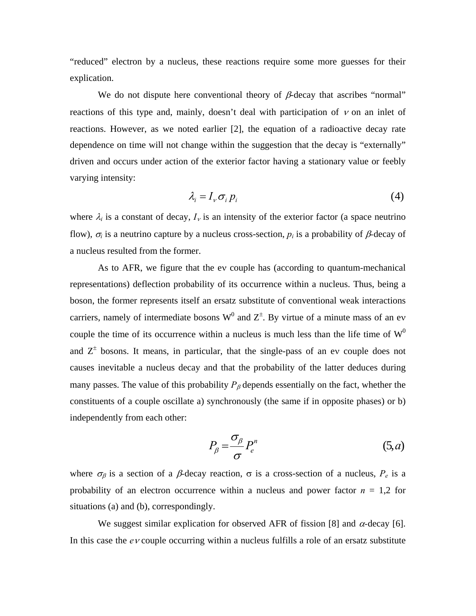"reduced" electron by a nucleus, these reactions require some more guesses for their explication.

We do not dispute here conventional theory of  $\beta$ -decay that ascribes "normal" reactions of this type and, mainly, doesn't deal with participation of  $\nu$  on an inlet of reactions. However, as we noted earlier [2], the equation of a radioactive decay rate dependence on time will not change within the suggestion that the decay is "externally" driven and occurs under action of the exterior factor having a stationary value or feebly varying intensity:

$$
\lambda_i = I_{\nu} \sigma_i p_i \tag{4}
$$

where  $\lambda_i$  is a constant of decay,  $I_v$  is an intensity of the exterior factor (a space neutrino flow),  $\sigma_i$  is a neutrino capture by a nucleus cross-section,  $p_i$  is a probability of  $\beta$ -decay of a nucleus resulted from the former.

As to AFR, we figure that the eν couple has (according to quantum-mechanical representations) deflection probability of its occurrence within a nucleus. Thus, being a boson, the former represents itself an ersatz substitute of conventional weak interactions carriers, namely of intermediate bosons W<sup>0</sup> and  $Z^{\pm}$ . By virtue of a minute mass of an ev couple the time of its occurrence within a nucleus is much less than the life time of  $W^0$ and  $Z^{\pm}$  bosons. It means, in particular, that the single-pass of an ev couple does not causes inevitable a nucleus decay and that the probability of the latter deduces during many passes. The value of this probability  $P_\beta$  depends essentially on the fact, whether the constituents of a couple oscillate a) synchronously (the same if in opposite phases) or b) independently from each other:

$$
P_{\beta} = \frac{\sigma_{\beta}}{\sigma} P_e^n \tag{5, a}
$$

where  $\sigma_{\beta}$  is a section of a  $\beta$ -decay reaction,  $\sigma$  is a cross-section of a nucleus,  $P_e$  is a probability of an electron occurrence within a nucleus and power factor  $n = 1,2$  for situations (a) and (b), correspondingly.

We suggest similar explication for observed AFR of fission [8] and α*-*decay [6]. In this case the *e*<sup>ν</sup> couple occurring within a nucleus fulfills a role of an ersatz substitute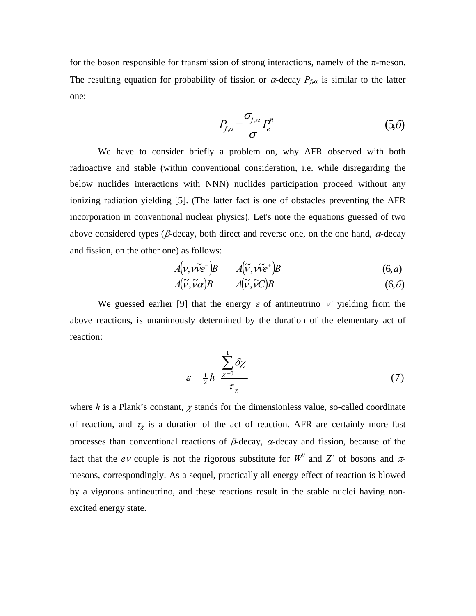for the boson responsible for transmission of strong interactions, namely of the  $\pi$ -meson. The resulting equation for probability of fission or  $\alpha$ -decay  $P_{f,\alpha}$  is similar to the latter one:

$$
P_{f,\alpha} = \frac{\sigma_{f,\alpha}}{\sigma} P_e^n \tag{5.6}
$$

We have to consider briefly a problem on, why AFR observed with both radioactive and stable (within conventional consideration, i.e. while disregarding the below nuclides interactions with NNN) nuclides participation proceed without any ionizing radiation yielding [5]. (The latter fact is one of obstacles preventing the AFR incorporation in conventional nuclear physics). Let's note the equations guessed of two above considered types (β*-*decay, both direct and reverse one, on the one hand, α*-*decay and fission, on the other one) as follows:

$$
A(v, v\tilde{v}e^-)B \qquad A(\tilde{v}, v\tilde{v}e^+)B \qquad (6, a)
$$

$$
A(\widetilde{\nu}, \widetilde{\nu}\alpha)B \qquad A(\widetilde{\nu}, \widetilde{\nu}C)B \qquad (6,6)
$$

We guessed earlier [9] that the energy  $\varepsilon$  of antineutrino  $\tilde{v}$  yielding from the above reactions, is unanimously determined by the duration of the elementary act of reaction:

$$
\varepsilon = \frac{1}{2}h \frac{\sum_{\chi=0}^{1} \delta \chi}{\tau_{\chi}}
$$
 (7)

where  $h$  is a Plank's constant,  $\chi$  stands for the dimensionless value, so-called coordinate of reaction, and  $\tau_{\chi}$  is a duration of the act of reaction. AFR are certainly more fast processes than conventional reactions of β*-*decay, α*-*decay and fission, because of the fact that the *ev* couple is not the rigorous substitute for  $W^0$  and  $Z^{\pm}$  of bosons and  $\pi$ mesons, correspondingly. As a sequel, practically all energy effect of reaction is blowed by a vigorous antineutrino, and these reactions result in the stable nuclei having nonexcited energy state.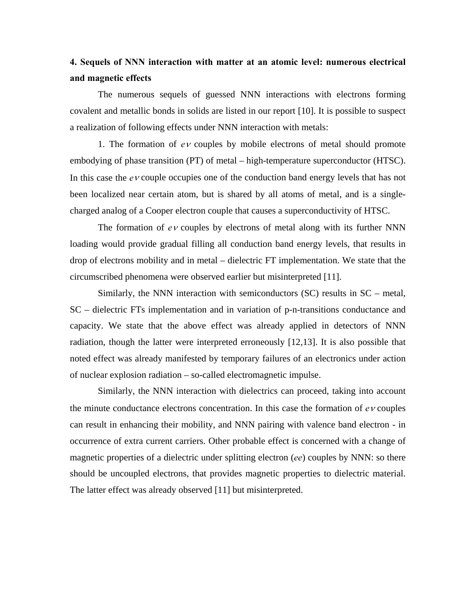### **4. Sequels of NNN interaction with matter at an atomic level: numerous electrical and magnetic effects**

The numerous sequels of guessed NNN interactions with electrons forming covalent and metallic bonds in solids are listed in our report [10]. It is possible to suspect a realization of following effects under NNN interaction with metals:

1. The formation of *e*ν couples by mobile electrons of metal should promote embodying of phase transition (PT) of metal – high-temperature superconductor (HTSC). In this case the *e*ν couple occupies one of the conduction band energy levels that has not been localized near certain atom, but is shared by all atoms of metal, and is a singlecharged analog of a Cooper electron couple that causes a superconductivity of HTSC.

The formation of *e*ν couples by electrons of metal along with its further NNN loading would provide gradual filling all conduction band energy levels, that results in drop of electrons mobility and in metal – dielectric FT implementation. We state that the circumscribed phenomena were observed earlier but misinterpreted [11].

Similarly, the NNN interaction with semiconductors (SC) results in SC – metal, SC – dielectric FTs implementation and in variation of p-n-transitions conductance and capacity. We state that the above effect was already applied in detectors of NNN radiation, though the latter were interpreted erroneously [12,13]. It is also possible that noted effect was already manifested by temporary failures of an electronics under action of nuclear explosion radiation – so-called electromagnetic impulse.

Similarly, the NNN interaction with dielectrics can proceed, taking into account the minute conductance electrons concentration. In this case the formation of *e*ν couples can result in enhancing their mobility, and NNN pairing with valence band electron - in occurrence of extra current carriers. Other probable effect is concerned with a change of magnetic properties of a dielectric under splitting electron (*ee*) couples by NNN: so there should be uncoupled electrons, that provides magnetic properties to dielectric material. The latter effect was already observed [11] but misinterpreted.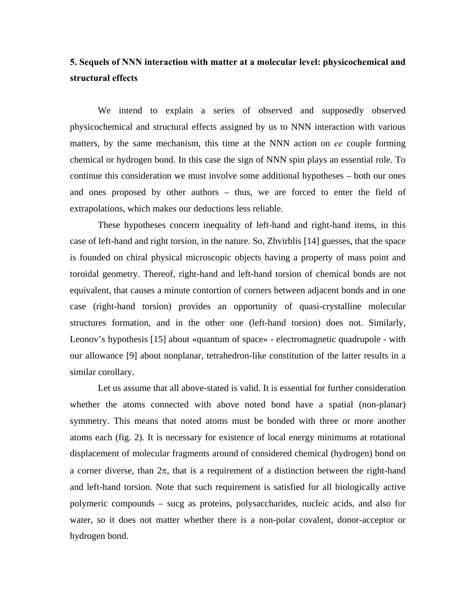## **5. Sequels of NNN interaction with matter at a molecular level: physicochemical and structural effects**

We intend to explain a series of observed and supposedly observed physicochemical and structural effects assigned by us to NNN interaction with various matters, by the same mechanism, this time at the NNN action on *ee* couple forming chemical or hydrogen bond. In this case the sign of NNN spin plays an essential role. To continue this consideration we must involve some additional hypotheses – both our ones and ones proposed by other authors – thus, we are forced to enter the field of extrapolations, which makes our deductions less reliable.

These hypotheses concern inequality of left-hand and right-hand items, in this case of left-hand and right torsion, in the nature. So, Zhvirblis [14] guesses, that the space is founded on chiral physical microscopic objects having a property of mass point and toroidal geometry. Thereof, right-hand and left-hand torsion of chemical bonds are not equivalent, that causes a minute contortion of corners between adjacent bonds and in one case (right-hand torsion) provides an opportunity of quasi-crystalline molecular structures formation, and in the other one (left-hand torsion) does not. Similarly, Leonov's hypothesis [15] about «quantum of space» - electromagnetic quadrupole - with our allowance [9] about nonplanar, tetrahedron-like constitution of the latter results in a similar corollary.

Let us assume that all above-stated is valid. It is essential for further consideration whether the atoms connected with above noted bond have a spatial (non-planar) symmetry. This means that noted atoms must be bonded with three or more another atoms each (fig. 2). It is necessary for existence of local energy minimums at rotational displacement of molecular fragments around of considered chemical (hydrogen) bond on a corner diverse, than  $2\pi$ , that is a requirement of a distinction between the right-hand and left-hand torsion. Note that such requirement is satisfied for all biologically active polymeric compounds – sucg as proteins, polysaccharides, nucleic acids, and also for water, so it does not matter whether there is a non-polar covalent, donor-acceptor or hydrogen bond.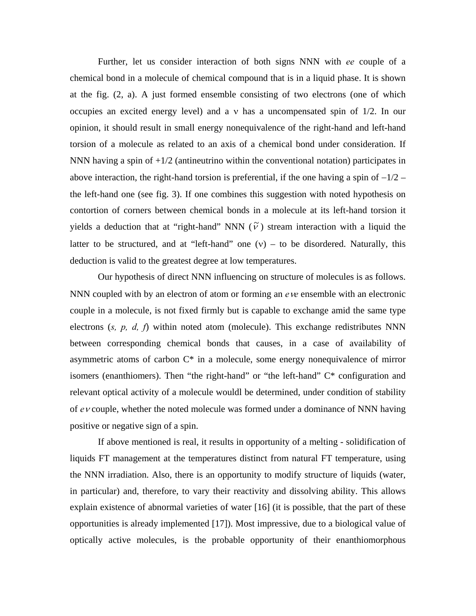Further, let us consider interaction of both signs NNN with *ee* couple of a chemical bond in a molecule of chemical compound that is in a liquid phase. It is shown at the fig. (2, a). A just formed ensemble consisting of two electrons (one of which occupies an excited energy level) and a ν has a uncompensated spin of 1/2. In our opinion, it should result in small energy nonequivalence of the right-hand and left-hand torsion of a molecule as related to an axis of a chemical bond under consideration. If NNN having a spin of  $+1/2$  (antineutrino within the conventional notation) participates in above interaction, the right-hand torsion is preferential, if the one having a spin of −1/2 – the left-hand one (see fig. 3). If one combines this suggestion with noted hypothesis on contortion of corners between chemical bonds in a molecule at its left-hand torsion it yields a deduction that at "right-hand" NNN ( $\tilde{v}$ ) stream interaction with a liquid the latter to be structured, and at "left-hand" one  $(v)$  – to be disordered. Naturally, this deduction is valid to the greatest degree at low temperatures.

Our hypothesis of direct NNN influencing on structure of molecules is as follows. NNN coupled with by an electron of atom or forming an *e*ν*e* ensemble with an electronic couple in a molecule, is not fixed firmly but is capable to exchange amid the same type electrons (*s, p, d, f*) within noted atom (molecule). This exchange redistributes NNN between corresponding chemical bonds that causes, in a case of availability of asymmetric atoms of carbon  $C^*$  in a molecule, some energy nonequivalence of mirror isomers (enanthiomers). Then "the right-hand" or "the left-hand" C\* configuration and relevant optical activity of a molecule wouldl be determined, under condition of stability of *e*ν couple, whether the noted molecule was formed under a dominance of NNN having positive or negative sign of a spin.

If above mentioned is real, it results in opportunity of a melting - solidification of liquids FT management at the temperatures distinct from natural FT temperature, using the NNN irradiation. Also, there is an opportunity to modify structure of liquids (water, in particular) and, therefore, to vary their reactivity and dissolving ability. This allows explain existence of abnormal varieties of water [16] (it is possible, that the part of these opportunities is already implemented [17]). Most impressive, due to a biological value of optically active molecules, is the probable opportunity of their enanthiomorphous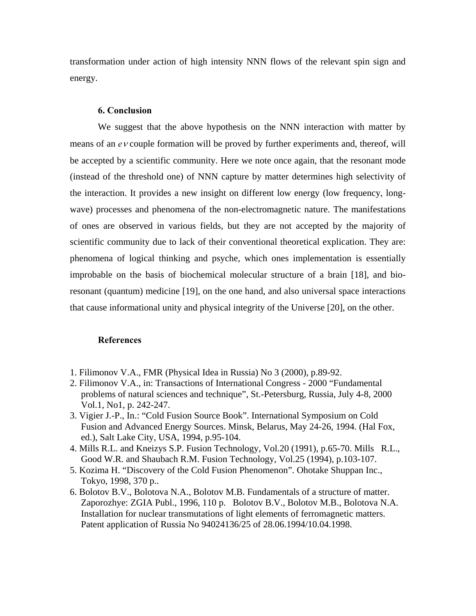transformation under action of high intensity NNN flows of the relevant spin sign and energy.

### **6. Conclusion**

We suggest that the above hypothesis on the NNN interaction with matter by means of an *e v* couple formation will be proved by further experiments and, thereof, will be accepted by a scientific community. Here we note once again, that the resonant mode (instead of the threshold one) of NNN capture by matter determines high selectivity of the interaction. It provides a new insight on different low energy (low frequency, longwave) processes and phenomena of the non-electromagnetic nature. The manifestations of ones are observed in various fields, but they are not accepted by the majority of scientific community due to lack of their conventional theoretical explication. They are: phenomena of logical thinking and psyche, which ones implementation is essentially improbable on the basis of biochemical molecular structure of a brain [18], and bioresonant (quantum) medicine [19], on the one hand, and also universal space interactions that cause informational unity and physical integrity of the Universe [20], on the other.

### **References**

- 1. Filimonov V.A., FMR (Physical Idea in Russia) No 3 (2000), p.89-92.
- 2. Filimonov V.A., in: Transactions of International Congress 2000 "Fundamental problems of natural sciences and technique", St.-Petersburg, Russia, July 4-8, 2000 Vol.1, No1, p. 242-247.
- 3. Vigier J.-P., In.: "Cold Fusion Source Book". International Symposium on Cold Fusion and Advanced Energy Sources. Minsk, Belarus, May 24-26, 1994. (Hal Fox, ed.), Salt Lake City, USA, 1994, p.95-104.
- 4. Mills R.L. and Kneizys S.P. Fusion Technology, Vol.20 (1991), p.65-70. Mills R.L., Good W.R. and Shaubach R.M. Fusion Technology, Vol.25 (1994), p.103-107.
- 5. Kozima H. "Discovery of the Cold Fusion Phenomenon". Ohotake Shuppan Inc., Tokyo, 1998, 370 p..
- 6. Bolotov B.V., Bolotova N.A., Bolotov M.B. Fundamentals of a structure of matter. Zaporozhye: ZGIA Publ., 1996, 110 p. Bolotov B.V., Bolotov M.B., Bolotova N.A. Installation for nuclear transmutations of light elements of ferromagnetic matters. Patent application of Russia No 94024136/25 of 28.06.1994/10.04.1998.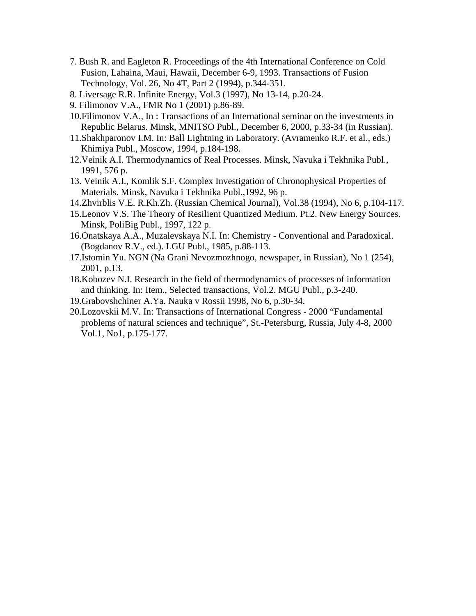- 7. Bush R. and Eagleton R. Proceedings of the 4th International Conference on Cold Fusion, Lahaina, Maui, Hawaii, December 6-9, 1993. Transactions of Fusion Technology, Vol. 26, No 4T, Part 2 (1994), p.344-351.
- 8. Liversage R.R. Infinite Energy, Vol.3 (1997), No 13-14, p.20-24.
- 9. Filimonov V.A., FMR No 1 (2001) p.86-89.
- 10.Filimonov V.A., In : Transactions of an International seminar on the investments in Republic Belarus. Minsk, MNITSO Publ., December 6, 2000, p.33-34 (in Russian).
- 11.Shakhparonov I.M. In: Ball Lightning in Laboratory. (Avramenko R.F. et al., eds.) Khimiya Publ., Moscow, 1994, p.184-198.
- 12.Veinik A.I. Thermodynamics of Real Processes. Minsk, Navuka i Tekhnika Publ., 1991, 576 p.
- 13. Veinik A.I., Komlik S.F. Complex Investigation of Chronophysical Properties of Materials. Minsk, Navuka i Tekhnika Publ.,1992, 96 p.
- 14.Zhvirblis V.E. R.Kh.Zh. (Russian Chemical Journal), Vol.38 (1994), No 6, p.104-117.
- 15.Leonov V.S. The Theory of Resilient Quantized Medium. Pt.2. New Energy Sources. Minsk, PoliBig Publ., 1997, 122 p.
- 16.Onatskaya A.A., Muzalevskaya N.I. In: Chemistry Conventional and Paradoxical. (Bogdanov R.V., ed.). LGU Publ., 1985, p.88-113.
- 17.Istomin Yu. NGN (Na Grani Nevozmozhnogo, newspaper, in Russian), No 1 (254), 2001, p.13.
- 18.Kobozev N.I. Research in the field of thermodynamics of processes of information and thinking. In: Item., Selected transactions, Vol.2. MGU Publ., p.3-240.
- 19.Grabovshchiner A.Ya. Nauka v Rossii 1998, No 6, p.30-34.
- 20.Lozovskii M.V. In: Transactions of International Congress 2000 "Fundamental problems of natural sciences and technique", St.-Petersburg, Russia, July 4-8, 2000 Vol.1, No1, p.175-177.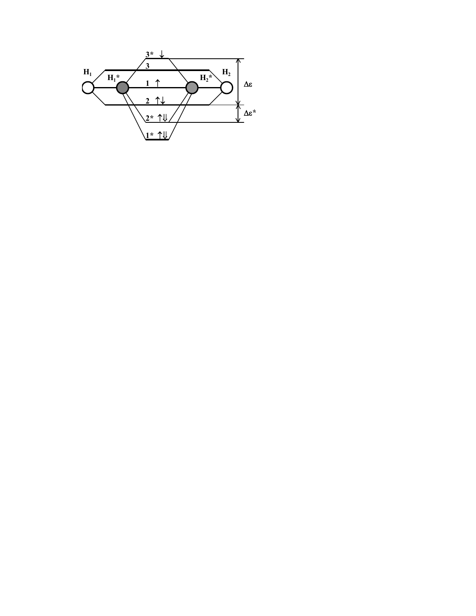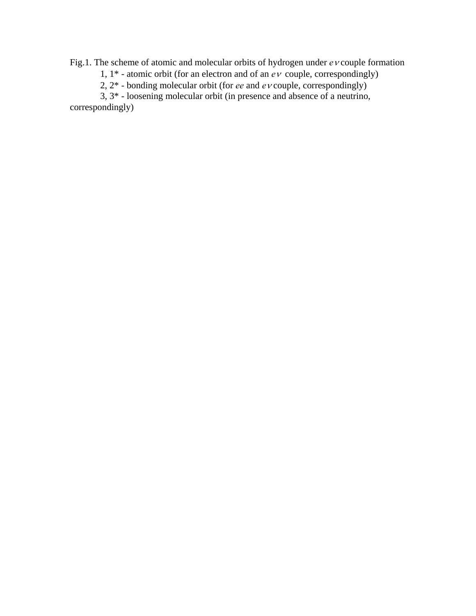Fig.1. The scheme of atomic and molecular orbits of hydrogen under *e*ν couple formation

1, 1\* - atomic orbit (for an electron and of an *e*ν couple, correspondingly)

2, 2\* - bonding molecular orbit (for *ee* and *e*ν couple, correspondingly)

3, 3\* - loosening molecular orbit (in presence and absence of a neutrino,

correspondingly)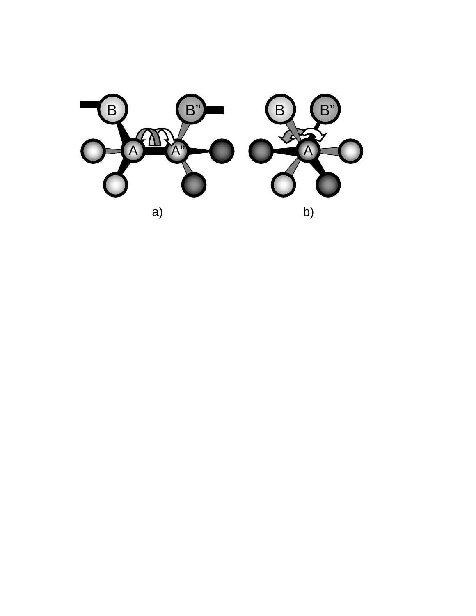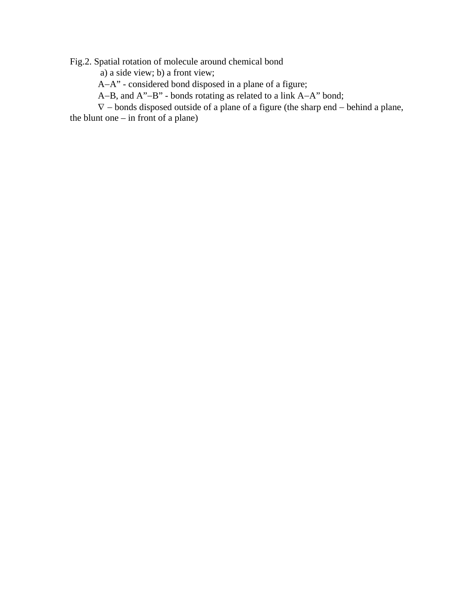Fig.2. Spatial rotation of molecule around chemical bond

a) a side view; b) a front view;

A−A" - considered bond disposed in a plane of a figure;

A−B, and A"−B" - bonds rotating as related to a link A−A" bond;

 ∇ − bonds disposed outside of a plane of a figure (the sharp end − behind a plane, the blunt one – in front of a plane)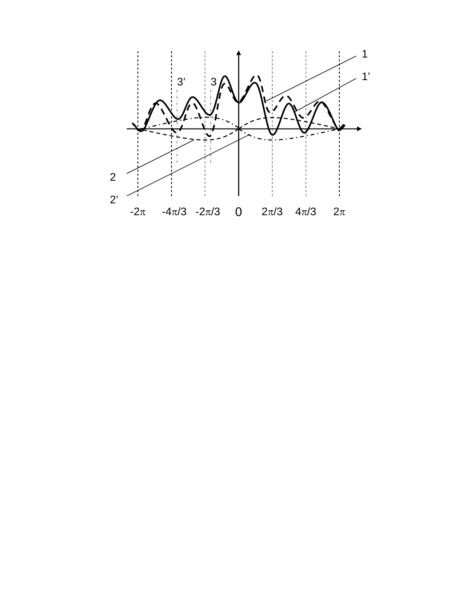